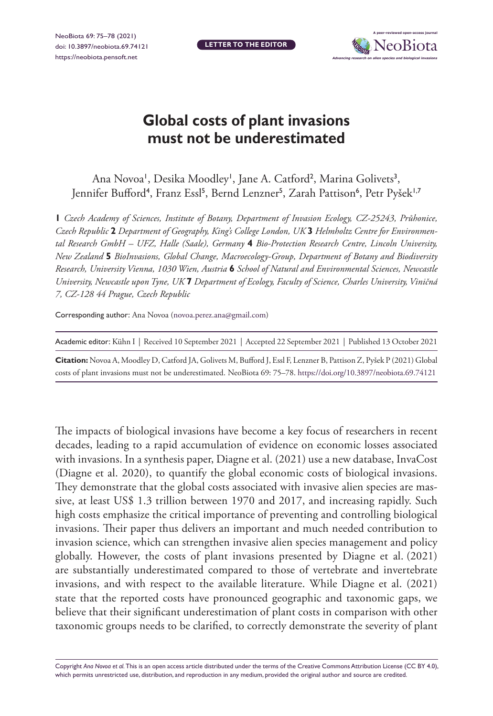**LETTER TO THE EDITOR**



## **Global costs of plant invasions must not be underestimated**

Ana Novoa', Desika Moodley', Jane A. Catford<sup>2</sup>, Marina Golivets<sup>3</sup>, Jennifer Bufford<sup>4</sup>, Franz Essl<sup>5</sup>, Bernd Lenzner<sup>5</sup>, Zarah Pattison<sup>6</sup>, Petr Pyšek<sup>1,7</sup>

**1** *Czech Academy of Sciences, Institute of Botany, Department of Invasion Ecology, CZ-25243, Průhonice, Czech Republic* **2** *Department of Geography, King's College London, UK* **3** *Helmholtz Centre for Environmental Research GmbH – UFZ, Halle (Saale), Germany* **4** *Bio-Protection Research Centre, Lincoln University, New Zealand* **5** *BioInvasions, Global Change, Macroecology-Group, Department of Botany and Biodiversity Research, University Vienna, 1030 Wien, Austria* **6** *School of Natural and Environmental Sciences, Newcastle University, Newcastle upon Tyne, UK* **7** *Department of Ecology, Faculty of Science, Charles University, Viničná 7, CZ-128 44 Prague, Czech Republic*

Corresponding author: Ana Novoa ([novoa.perez.ana@gmail.com](mailto:novoa.perez.ana@gmail.com))

| Academic editor: Kühn I   Received 10 September 2021   Accepted 22 September 2021   Published 13 October 2021         |
|-----------------------------------------------------------------------------------------------------------------------|
| Citation: Novoa A, Moodley D, Catford JA, Golivets M, Bufford J, Essl F, Lenzner B, Pattison Z, Pyšek P (2021) Global |
| costs of plant invasions must not be underestimated. NeoBiota 69: 75-78. https://doi.org/10.3897/neobiota.69.74121    |

The impacts of biological invasions have become a key focus of researchers in recent decades, leading to a rapid accumulation of evidence on economic losses associated with invasions. In a synthesis paper, Diagne et al. (2021) use a new database, InvaCost (Diagne et al. 2020), to quantify the global economic costs of biological invasions. They demonstrate that the global costs associated with invasive alien species are massive, at least US\$ 1.3 trillion between 1970 and 2017, and increasing rapidly. Such high costs emphasize the critical importance of preventing and controlling biological invasions. Their paper thus delivers an important and much needed contribution to invasion science, which can strengthen invasive alien species management and policy globally. However, the costs of plant invasions presented by Diagne et al. (2021) are substantially underestimated compared to those of vertebrate and invertebrate invasions, and with respect to the available literature. While Diagne et al. (2021) state that the reported costs have pronounced geographic and taxonomic gaps, we believe that their significant underestimation of plant costs in comparison with other taxonomic groups needs to be clarified, to correctly demonstrate the severity of plant

Copyright *Ana Novoa et al.* This is an open access article distributed under the terms of the [Creative Commons Attribution License \(CC BY 4.0\)](http://creativecommons.org/licenses/by/4.0/), which permits unrestricted use, distribution, and reproduction in any medium, provided the original author and source are credited.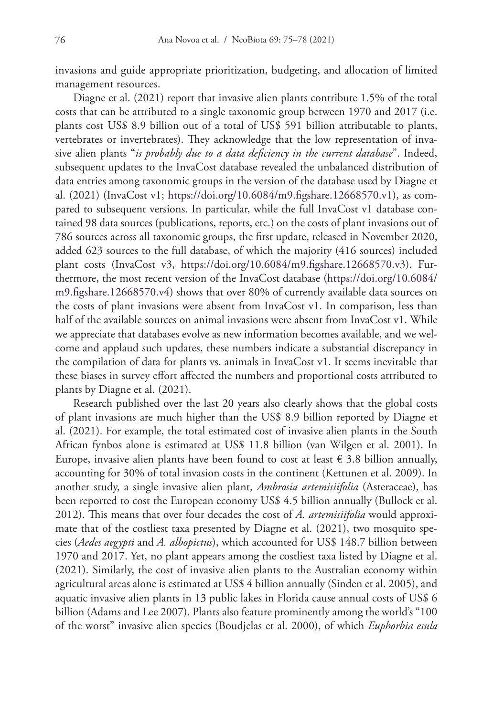invasions and guide appropriate prioritization, budgeting, and allocation of limited management resources.

Diagne et al. (2021) report that invasive alien plants contribute 1.5% of the total costs that can be attributed to a single taxonomic group between 1970 and 2017 (i.e. plants cost US\$ 8.9 billion out of a total of US\$ 591 billion attributable to plants, vertebrates or invertebrates). They acknowledge that the low representation of invasive alien plants "*is probably due to a data deficiency in the current database*". Indeed, subsequent updates to the InvaCost database revealed the unbalanced distribution of data entries among taxonomic groups in the version of the database used by Diagne et al. (2021) (InvaCost v1; [https://doi.org/10.6084/m9.figshare.12668570.v1\)](https://doi.org/10.6084/m9.figshare.12668570.v1), as compared to subsequent versions. In particular, while the full InvaCost v1 database contained 98 data sources (publications, reports, etc.) on the costs of plant invasions out of 786 sources across all taxonomic groups, the first update, released in November 2020, added 623 sources to the full database, of which the majority (416 sources) included plant costs (InvaCost v3, [https://doi.org/10.6084/m9.figshare.12668570.v3\)](https://doi.org/10.6084/m9.figshare.12668570.v3). Furthermore, the most recent version of the InvaCost database ([https://doi.org/10.6084/](https://doi.org/10.6084/m9.figshare.12668570.v4) [m9.figshare.12668570.v4](https://doi.org/10.6084/m9.figshare.12668570.v4)) shows that over 80% of currently available data sources on the costs of plant invasions were absent from InvaCost v1. In comparison, less than half of the available sources on animal invasions were absent from InvaCost v1. While we appreciate that databases evolve as new information becomes available, and we welcome and applaud such updates, these numbers indicate a substantial discrepancy in the compilation of data for plants vs. animals in InvaCost v1. It seems inevitable that these biases in survey effort affected the numbers and proportional costs attributed to plants by Diagne et al. (2021).

Research published over the last 20 years also clearly shows that the global costs of plant invasions are much higher than the US\$ 8.9 billion reported by Diagne et al. (2021). For example, the total estimated cost of invasive alien plants in the South African fynbos alone is estimated at US\$ 11.8 billion (van Wilgen et al. 2001). In Europe, invasive alien plants have been found to cost at least  $\epsilon$  3.8 billion annually, accounting for 30% of total invasion costs in the continent (Kettunen et al. 2009). In another study, a single invasive alien plant, *Ambrosia artemisiifolia* (Asteraceae), has been reported to cost the European economy US\$ 4.5 billion annually (Bullock et al. 2012). This means that over four decades the cost of *A. artemisiifolia* would approximate that of the costliest taxa presented by Diagne et al. (2021), two mosquito species (*Aedes aegypti* and *A. albopictus*), which accounted for US\$ 148.7 billion between 1970 and 2017. Yet, no plant appears among the costliest taxa listed by Diagne et al. (2021). Similarly, the cost of invasive alien plants to the Australian economy within agricultural areas alone is estimated at US\$ 4 billion annually (Sinden et al. 2005), and aquatic invasive alien plants in 13 public lakes in Florida cause annual costs of US\$ 6 billion (Adams and Lee 2007). Plants also feature prominently among the world's "100 of the worst" invasive alien species (Boudjelas et al. 2000), of which *Euphorbia esula*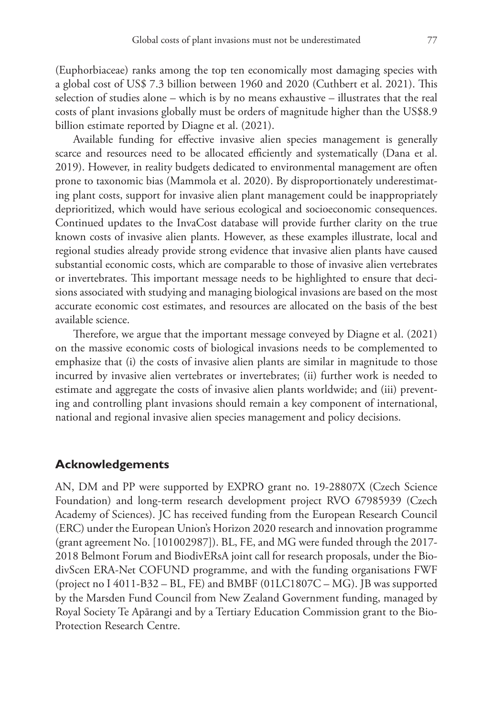(Euphorbiaceae) ranks among the top ten economically most damaging species with a global cost of US\$ 7.3 billion between 1960 and 2020 (Cuthbert et al. 2021). This selection of studies alone – which is by no means exhaustive – illustrates that the real costs of plant invasions globally must be orders of magnitude higher than the US\$8.9 billion estimate reported by Diagne et al. (2021).

Available funding for effective invasive alien species management is generally scarce and resources need to be allocated efficiently and systematically (Dana et al. 2019). However, in reality budgets dedicated to environmental management are often prone to taxonomic bias (Mammola et al. 2020). By disproportionately underestimating plant costs, support for invasive alien plant management could be inappropriately deprioritized, which would have serious ecological and socioeconomic consequences. Continued updates to the InvaCost database will provide further clarity on the true known costs of invasive alien plants. However, as these examples illustrate, local and regional studies already provide strong evidence that invasive alien plants have caused substantial economic costs, which are comparable to those of invasive alien vertebrates or invertebrates. This important message needs to be highlighted to ensure that decisions associated with studying and managing biological invasions are based on the most accurate economic cost estimates, and resources are allocated on the basis of the best available science.

Therefore, we argue that the important message conveyed by Diagne et al. (2021) on the massive economic costs of biological invasions needs to be complemented to emphasize that (i) the costs of invasive alien plants are similar in magnitude to those incurred by invasive alien vertebrates or invertebrates; (ii) further work is needed to estimate and aggregate the costs of invasive alien plants worldwide; and (iii) preventing and controlling plant invasions should remain a key component of international, national and regional invasive alien species management and policy decisions.

## **Acknowledgements**

AN, DM and PP were supported by EXPRO grant no. 19-28807X (Czech Science Foundation) and long-term research development project RVO 67985939 (Czech Academy of Sciences). JC has received funding from the European Research Council (ERC) under the European Union's Horizon 2020 research and innovation programme (grant agreement No. [101002987]). BL, FE, and MG were funded through the 2017- 2018 Belmont Forum and BiodivERsA joint call for research proposals, under the BiodivScen ERA-Net COFUND programme, and with the funding organisations FWF (project no I 4011-B32 – BL, FE) and BMBF (01LC1807C – MG). JB was supported by the Marsden Fund Council from New Zealand Government funding, managed by Royal Society Te Apārangi and by a Tertiary Education Commission grant to the Bio-Protection Research Centre.